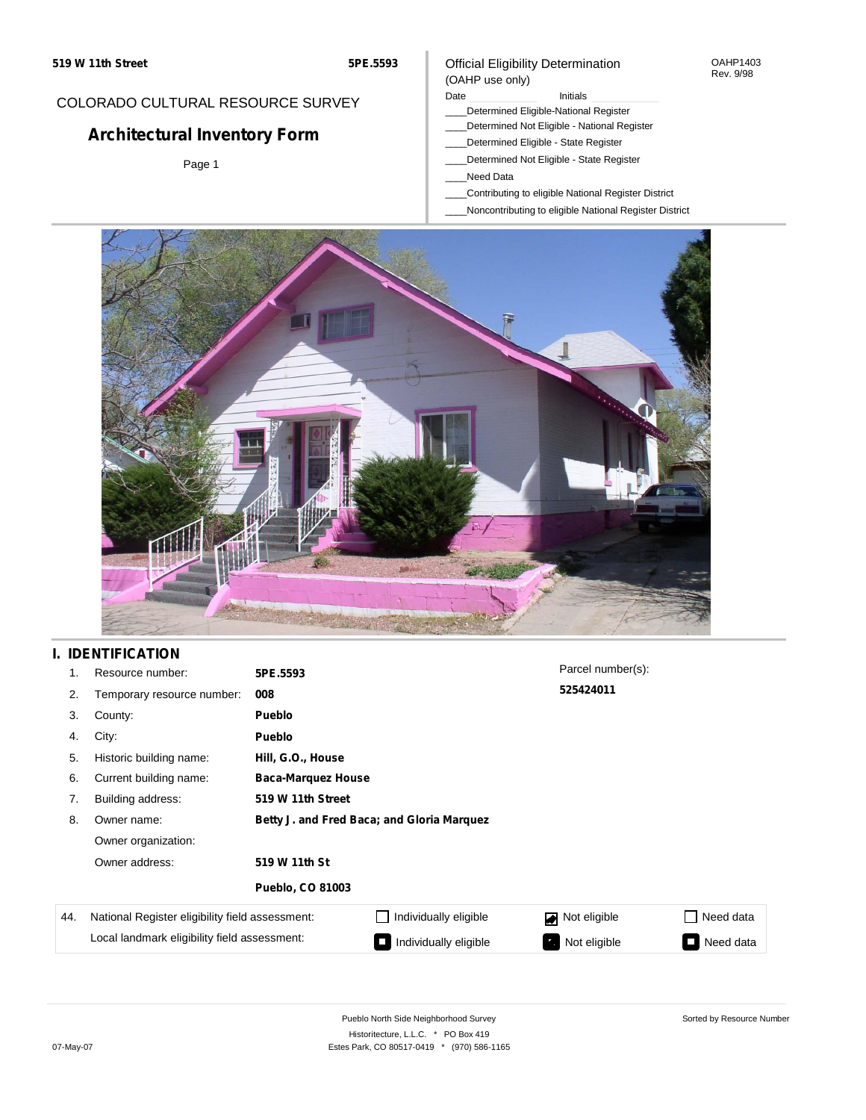#### OAHP1403 Rev. 9/98

### COLORADO CULTURAL RESOURCE SURVEY

# **Architectural Inventory Form**

Page 1

# (OAHP use only)

Official Eligibility Determination

Date **Initials** Initials

- \_\_\_\_Determined Eligible-National Register
- \_\_\_\_Determined Not Eligible National Register \_\_\_\_Determined Eligible - State Register
- \_\_\_\_Determined Not Eligible State Register
- \_\_\_\_Need Data
- 
- \_\_\_\_Contributing to eligible National Register District
- \_\_\_\_Noncontributing to eligible National Register District



## **I. IDENTIFICATION**

| 1.  | Resource number:                                | 5PE.5593                                   |                       | Parcel number(s): |                                       |
|-----|-------------------------------------------------|--------------------------------------------|-----------------------|-------------------|---------------------------------------|
| 2.  | Temporary resource number:                      | 008                                        |                       | 525424011         |                                       |
| 3.  | County:                                         | <b>Pueblo</b>                              |                       |                   |                                       |
| 4.  | City:                                           | <b>Pueblo</b>                              |                       |                   |                                       |
| 5.  | Historic building name:                         | Hill, G.O., House                          |                       |                   |                                       |
| 6.  | Current building name:                          | <b>Baca-Marquez House</b>                  |                       |                   |                                       |
| 7.  | Building address:                               | 519 W 11th Street                          |                       |                   |                                       |
| 8.  | Owner name:                                     | Betty J. and Fred Baca; and Gloria Marquez |                       |                   |                                       |
|     | Owner organization:                             |                                            |                       |                   |                                       |
|     | Owner address:                                  | 519 W 11th St                              |                       |                   |                                       |
|     |                                                 | <b>Pueblo, CO 81003</b>                    |                       |                   |                                       |
| 44. | National Register eligibility field assessment: |                                            | Individually eligible | Not eligible      | Need data                             |
|     | Local landmark eligibility field assessment:    |                                            | Individually eligible | Not eligible      | Need data<br>$\overline{\phantom{a}}$ |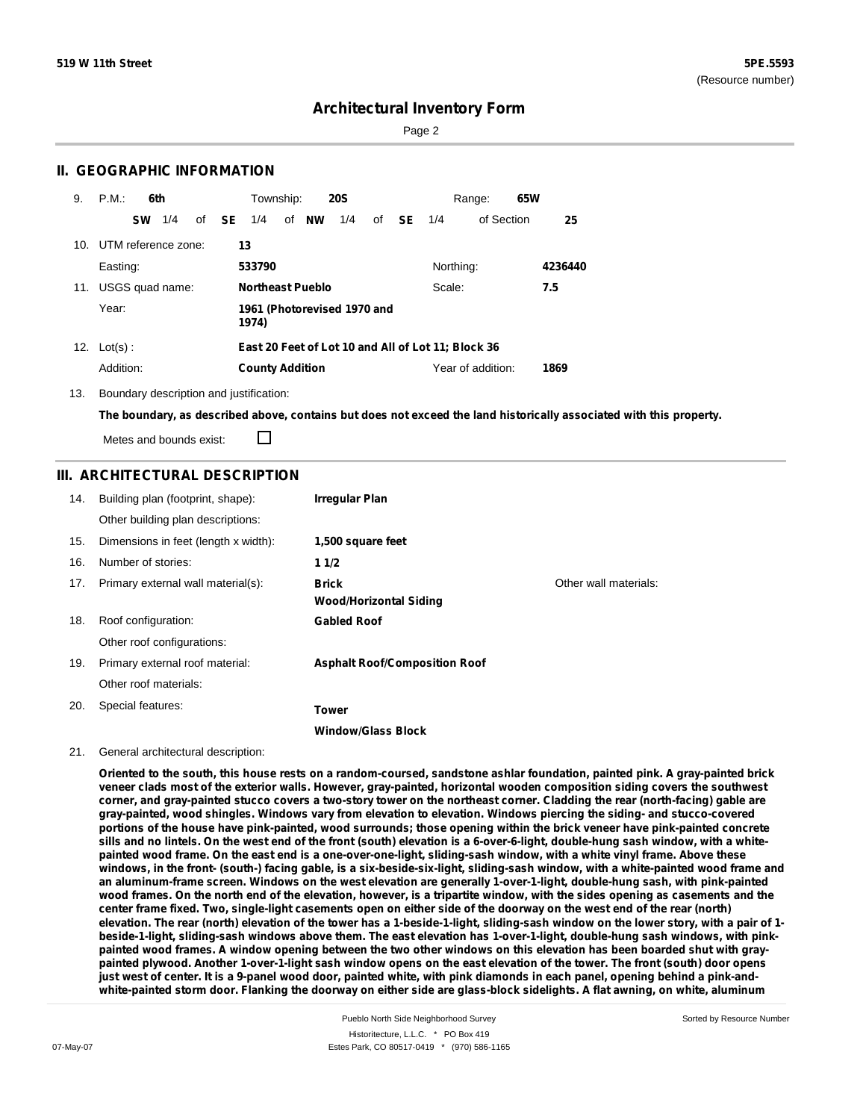Page 2

### **II. GEOGRAPHIC INFORMATION**

| 9.  | P.M.<br>6th         | Township:<br><b>20S</b>                             | 65W<br>Range:                   |
|-----|---------------------|-----------------------------------------------------|---------------------------------|
|     | 1/4<br><b>SW</b>    | of <b>SE</b><br><b>NW</b><br>1/4<br>1/4<br>of<br>of | - SE<br>of Section<br>25<br>1/4 |
| 10. | UTM reference zone: | 13                                                  |                                 |
|     | Easting:            | 533790                                              | Northing:<br>4236440            |
| 11. | USGS quad name:     | <b>Northeast Pueblo</b>                             | Scale:<br>7.5                   |
|     | Year:               | 1961 (Photorevised 1970 and<br>1974)                |                                 |
|     | 12. $Lot(s)$ :      | East 20 Feet of Lot 10 and All of Lot 11; Block 36  |                                 |
|     | Addition:           | <b>County Addition</b>                              | Year of addition:<br>1869       |

13. Boundary description and justification:

The boundary, as described above, contains but does not exceed the land historically associated with this property.

П Metes and bounds exist:

### **III. ARCHITECTURAL DESCRIPTION**

| 14. | Building plan (footprint, shape):    | Irregular Plan                         |                       |
|-----|--------------------------------------|----------------------------------------|-----------------------|
|     | Other building plan descriptions:    |                                        |                       |
| 15. | Dimensions in feet (length x width): | 1,500 square feet                      |                       |
| 16. | Number of stories:                   | 11/2                                   |                       |
| 17. | Primary external wall material(s):   | Brick<br><b>Wood/Horizontal Siding</b> | Other wall materials: |
| 18. | Roof configuration:                  | <b>Gabled Roof</b>                     |                       |
|     | Other roof configurations:           |                                        |                       |
| 19. | Primary external roof material:      | <b>Asphalt Roof/Composition Roof</b>   |                       |
|     | Other roof materials:                |                                        |                       |
| 20. | Special features:                    | Tower                                  |                       |
|     |                                      | <b>Window/Glass Block</b>              |                       |

#### 21. General architectural description:

Oriented to the south, this house rests on a random-coursed, sandstone ashlar foundation, painted pink, A gray-painted brick veneer clads most of the exterior walls. However, gray-painted, horizontal wooden composition siding covers the southwest corner, and gray-painted stucco covers a two-story tower on the northeast corner. Cladding the rear (north-facing) gable are **gray-painted, wood shingles. Windows vary from elevation to elevation. Windows piercing the siding- and stucco-covered** portions of the house have pink-painted, wood surrounds; those opening within the brick veneer have pink-painted concrete sills and no lintels. On the west end of the front (south) elevation is a 6-over-6-light, double-hung sash window, with a whitepainted wood frame. On the east end is a one-over-one-light, sliding-sash window, with a white vinyl frame. Above these windows, in the front- (south-) facing gable, is a six-beside-six-light, sliding-sash window, with a white-painted wood frame and an aluminum-frame screen. Windows on the west elevation are generally 1-over-1-light, double-hung sash, with pink-painted wood frames. On the north end of the elevation, however, is a tripartite window, with the sides opening as casements and the center frame fixed. Two, single-light casements open on either side of the doorway on the west end of the rear (north) elevation. The rear (north) elevation of the tower has a 1-beside-1-light, sliding-sash window on the lower story, with a pair of 1beside-1-light, sliding-sash windows above them. The east elevation has 1-over-1-light, double-hung sash windows, with pinkpainted wood frames. A window opening between the two other windows on this elevation has been boarded shut with graypainted plywood. Another 1-over-1-light sash window opens on the east elevation of the tower. The front (south) door opens just west of center. It is a 9-panel wood door, painted white, with pink diamonds in each panel, opening behind a pink-andwhite-painted storm door. Flanking the doorway on either side are glass-block sidelights. A flat awning, on white, aluminum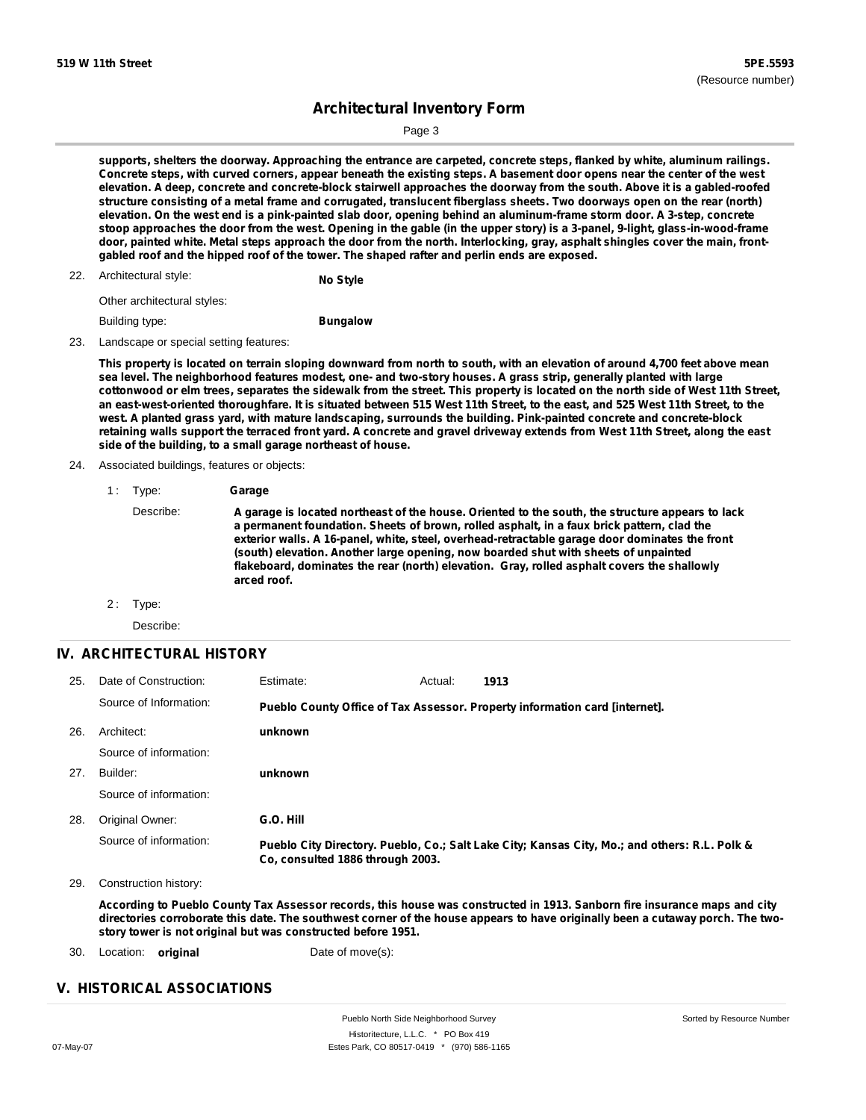Sorted by Resource Number

## **Architectural Inventory Form**

Page 3

supports, shelters the doorway. Approaching the entrance are carpeted, concrete steps, flanked by white, aluminum railings. Concrete steps, with curved corners, appear beneath the existing steps. A basement door opens near the center of the west elevation. A deep, concrete and concrete-block stairwell approaches the doorway from the south. Above it is a gabled-roofed structure consisting of a metal frame and corrugated, translucent fiberglass sheets. Two doorways open on the rear (north) elevation. On the west end is a pink-painted slab door, opening behind an aluminum-frame storm door. A 3-step, concrete stoop approaches the door from the west. Opening in the gable (in the upper story) is a 3-panel, 9-light, glass-in-wood-frame door, painted white. Metal steps approach the door from the north. Interlocking, gray, asphalt shingles cover the main, front**gabled roof and the hipped roof of the tower. The shaped rafter and perlin ends are exposed.**

22. Architectural style:

**No Style**

Other architectural styles:

Building type:

**Bungalow**

23. Landscape or special setting features:

This property is located on terrain sloping downward from north to south, with an elevation of around 4,700 feet above mean sea level. The neighborhood features modest, one- and two-story houses. A grass strip, generally planted with large cottonwood or elm trees, separates the sidewalk from the street. This property is located on the north side of West 11th Street, an east-west-oriented thoroughfare. It is situated between 515 West 11th Street, to the east, and 525 West 11th Street, to the **west. A planted grass yard, with mature landscaping, surrounds the building. Pink-painted concrete and concrete-block** retaining walls support the terraced front yard. A concrete and gravel driveway extends from West 11th Street, along the east **side of the building, to a small garage northeast of house.**

### 24. Associated buildings, features or objects:

| 1 : | Type: | Garage |
|-----|-------|--------|
|     |       |        |

Describe: A garage is located northeast of the house. Oriented to the south, the structure appears to lack **a permanent foundation. Sheets of brown, rolled asphalt, in a faux brick pattern, clad the exterior walls. A 16-panel, white, steel, overhead-retractable garage door dominates the front (south) elevation. Another large opening, now boarded shut with sheets of unpainted flakeboard, dominates the rear (north) elevation. Gray, rolled asphalt covers the shallowly arced roof.**

2: Type:

Describe:

#### **IV. ARCHITECTURAL HISTORY**

| 25. | Date of Construction:  | Estimate:                        | Actual: | 1913                                                                                          |
|-----|------------------------|----------------------------------|---------|-----------------------------------------------------------------------------------------------|
|     | Source of Information: |                                  |         | Pueblo County Office of Tax Assessor. Property information card [internet].                   |
| 26. | Architect:             | unknown                          |         |                                                                                               |
|     | Source of information: |                                  |         |                                                                                               |
| 27. | Builder:               | unknown                          |         |                                                                                               |
|     | Source of information: |                                  |         |                                                                                               |
| 28. | Original Owner:        | G.O. Hill                        |         |                                                                                               |
|     | Source of information: | Co. consulted 1886 through 2003. |         | Pueblo City Directory. Pueblo, Co.; Salt Lake City; Kansas City, Mo.; and others: R.L. Polk & |

29. Construction history:

According to Pueblo County Tax Assessor records, this house was constructed in 1913. Sanborn fire insurance maps and city directories corroborate this date. The southwest corner of the house appears to have originally been a cutaway porch. The two**story tower is not original but was constructed before 1951.**

30. Location: **original** Date of move(s):

### **V. HISTORICAL ASSOCIATIONS**

Pueblo North Side Neighborhood Survey Historitecture, L.L.C. \* PO Box 419 07-May-07 Estes Park, CO 80517-0419 \* (970) 586-1165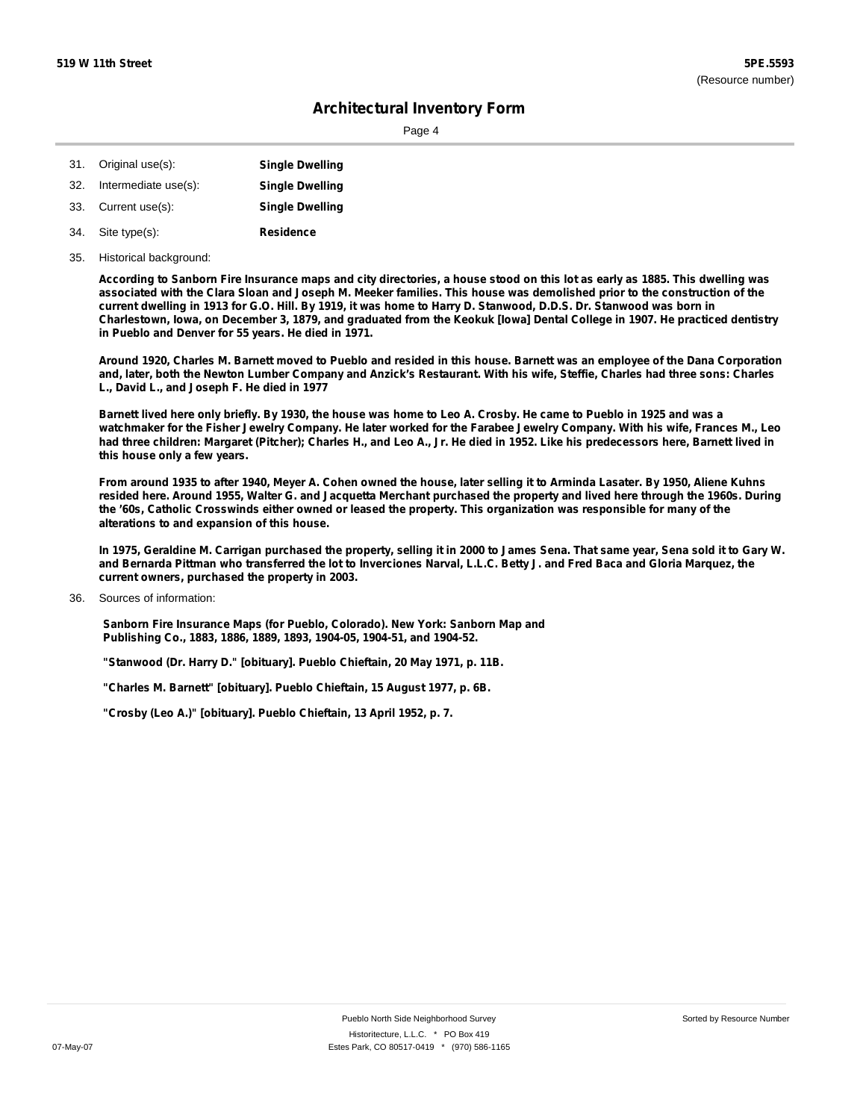Page 4

|     | 31. Original use(s): | <b>Single Dwelling</b> |
|-----|----------------------|------------------------|
| 32. | Intermediate use(s): | <b>Single Dwelling</b> |

- 33. Current use(s): **Single Dwelling**
- **Residence** Site type(s): 34.
- 35. Historical background:

According to Sanborn Fire Insurance maps and city directories, a house stood on this lot as early as 1885. This dwelling was associated with the Clara Sloan and Joseph M. Meeker families. This house was demolished prior to the construction of the current dwelling in 1913 for G.O. Hill. By 1919, it was home to Harry D. Stanwood, D.D.S. Dr. Stanwood was born in Charlestown, Iowa, on December 3, 1879, and graduated from the Keokuk [Iowa] Dental College in 1907. He practiced dentistry **in Pueblo and Denver for 55 years. He died in 1971.**

Around 1920, Charles M. Barnett moved to Pueblo and resided in this house. Barnett was an employee of the Dana Corporation and, later, both the Newton Lumber Company and Anzick's Restaurant. With his wife, Steffie, Charles had three sons: Charles **L., David L., and Joseph F. He died in 1977**

Barnett lived here only briefly. By 1930, the house was home to Leo A. Crosby. He came to Pueblo in 1925 and was a watchmaker for the Fisher Jewelry Company. He later worked for the Farabee Jewelry Company. With his wife, Frances M., Leo had three children: Margaret (Pitcher); Charles H., and Leo A., Jr. He died in 1952. Like his predecessors here, Barnett lived in **this house only a few years.**

From around 1935 to after 1940, Meyer A. Cohen owned the house, later selling it to Arminda Lasater. By 1950, Aliene Kuhns resided here. Around 1955, Walter G. and Jacquetta Merchant purchased the property and lived here through the 1960s. During the '60s, Catholic Crosswinds either owned or leased the property. This organization was responsible for many of the **alterations to and expansion of this house.**

In 1975, Geraldine M. Carrigan purchased the property, selling it in 2000 to James Sena. That same year, Sena sold it to Gary W. and Bernarda Pittman who transferred the lot to Inverciones Narval, L.L.C. Betty J. and Fred Baca and Gloria Marguez, the **current owners, purchased the property in 2003.**

**Sanborn Fire Insurance Maps (for Pueblo, Colorado). New York: Sanborn Map and Publishing Co., 1883, 1886, 1889, 1893, 1904-05, 1904-51, and 1904-52.**

**"Stanwood (Dr. Harry D." [obituary]. Pueblo Chieftain, 20 May 1971, p. 11B.**

**"Charles M. Barnett" [obituary]. Pueblo Chieftain, 15 August 1977, p. 6B.**

**"Crosby (Leo A.)" [obituary]. Pueblo Chieftain, 13 April 1952, p. 7.**

Sources of information: 36.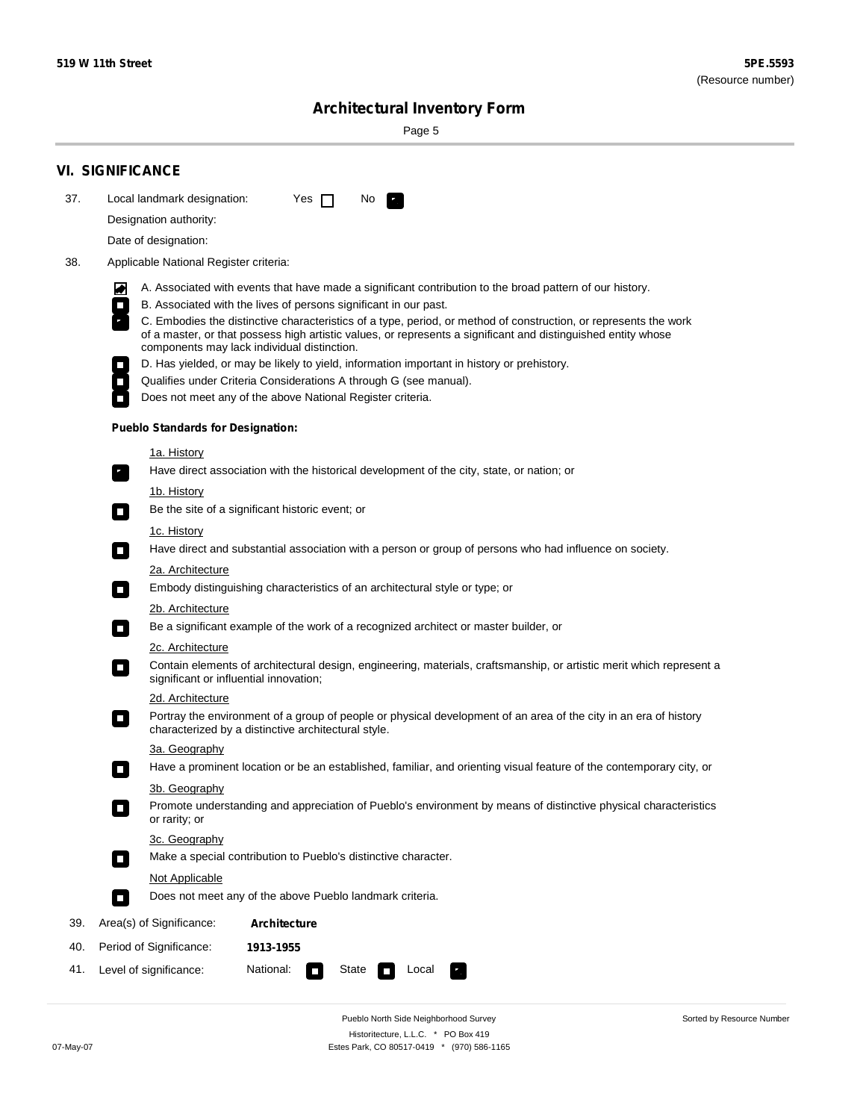۰

Sorted by Resource Number

# **Architectural Inventory Form**

Page 5

|                                               | <b>VI. SIGNIFICANCE</b>                                                                                                                                                                                                           |  |  |  |  |
|-----------------------------------------------|-----------------------------------------------------------------------------------------------------------------------------------------------------------------------------------------------------------------------------------|--|--|--|--|
| 37.                                           | Local landmark designation:<br>Yes $\Box$<br>No.<br>$\mathbf{r}_1$                                                                                                                                                                |  |  |  |  |
|                                               | Designation authority:                                                                                                                                                                                                            |  |  |  |  |
|                                               | Date of designation:                                                                                                                                                                                                              |  |  |  |  |
| 38.<br>Applicable National Register criteria: |                                                                                                                                                                                                                                   |  |  |  |  |
|                                               | A. Associated with events that have made a significant contribution to the broad pattern of our history.                                                                                                                          |  |  |  |  |
|                                               | M<br>B. Associated with the lives of persons significant in our past.<br>$\Box$                                                                                                                                                   |  |  |  |  |
|                                               | C. Embodies the distinctive characteristics of a type, period, or method of construction, or represents the work<br>of a master, or that possess high artistic values, or represents a significant and distinguished entity whose |  |  |  |  |
|                                               | components may lack individual distinction.<br>D. Has yielded, or may be likely to yield, information important in history or prehistory.                                                                                         |  |  |  |  |
|                                               | Qualifies under Criteria Considerations A through G (see manual).<br>$\overline{\phantom{a}}$                                                                                                                                     |  |  |  |  |
|                                               | Does not meet any of the above National Register criteria.                                                                                                                                                                        |  |  |  |  |
|                                               | <b>Pueblo Standards for Designation:</b>                                                                                                                                                                                          |  |  |  |  |
|                                               | 1a. History                                                                                                                                                                                                                       |  |  |  |  |
|                                               | Have direct association with the historical development of the city, state, or nation; or<br>$\overline{\phantom{a}}$ .                                                                                                           |  |  |  |  |
|                                               | <u>1b. History</u><br>Be the site of a significant historic event; or<br>$\Box$                                                                                                                                                   |  |  |  |  |
|                                               | 1c. History<br>Have direct and substantial association with a person or group of persons who had influence on society.<br>$\Box$                                                                                                  |  |  |  |  |
|                                               | 2a. Architecture                                                                                                                                                                                                                  |  |  |  |  |
|                                               | Embody distinguishing characteristics of an architectural style or type; or<br>$\Box$                                                                                                                                             |  |  |  |  |
|                                               | 2b. Architecture                                                                                                                                                                                                                  |  |  |  |  |
|                                               | Be a significant example of the work of a recognized architect or master builder, or<br>$\overline{\phantom{a}}$                                                                                                                  |  |  |  |  |
|                                               | 2c. Architecture                                                                                                                                                                                                                  |  |  |  |  |
|                                               | Contain elements of architectural design, engineering, materials, craftsmanship, or artistic merit which represent a<br>$\Box$<br>significant or influential innovation;                                                          |  |  |  |  |
|                                               | 2d. Architecture                                                                                                                                                                                                                  |  |  |  |  |
|                                               | Portray the environment of a group of people or physical development of an area of the city in an era of history<br>$\overline{\phantom{a}}$<br>characterized by a distinctive architectural style.                               |  |  |  |  |
|                                               | 3a. Geography                                                                                                                                                                                                                     |  |  |  |  |
|                                               | Have a prominent location or be an established, familiar, and orienting visual feature of the contemporary city, or                                                                                                               |  |  |  |  |
|                                               | 3b. Geography<br>Promote understanding and appreciation of Pueblo's environment by means of distinctive physical characteristics<br>or rarity; or                                                                                 |  |  |  |  |
|                                               | 3c. Geography<br>Make a special contribution to Pueblo's distinctive character.<br>$\Box$                                                                                                                                         |  |  |  |  |
|                                               | Not Applicable                                                                                                                                                                                                                    |  |  |  |  |
|                                               | Does not meet any of the above Pueblo landmark criteria.<br>$\Box$                                                                                                                                                                |  |  |  |  |
| 39.                                           | Area(s) of Significance:<br><b>Architecture</b>                                                                                                                                                                                   |  |  |  |  |
| 40.                                           | Period of Significance:<br>1913-1955                                                                                                                                                                                              |  |  |  |  |
| 41.                                           | Level of significance:<br>National:<br>State<br>Local<br>$\overline{\phantom{a}}$                                                                                                                                                 |  |  |  |  |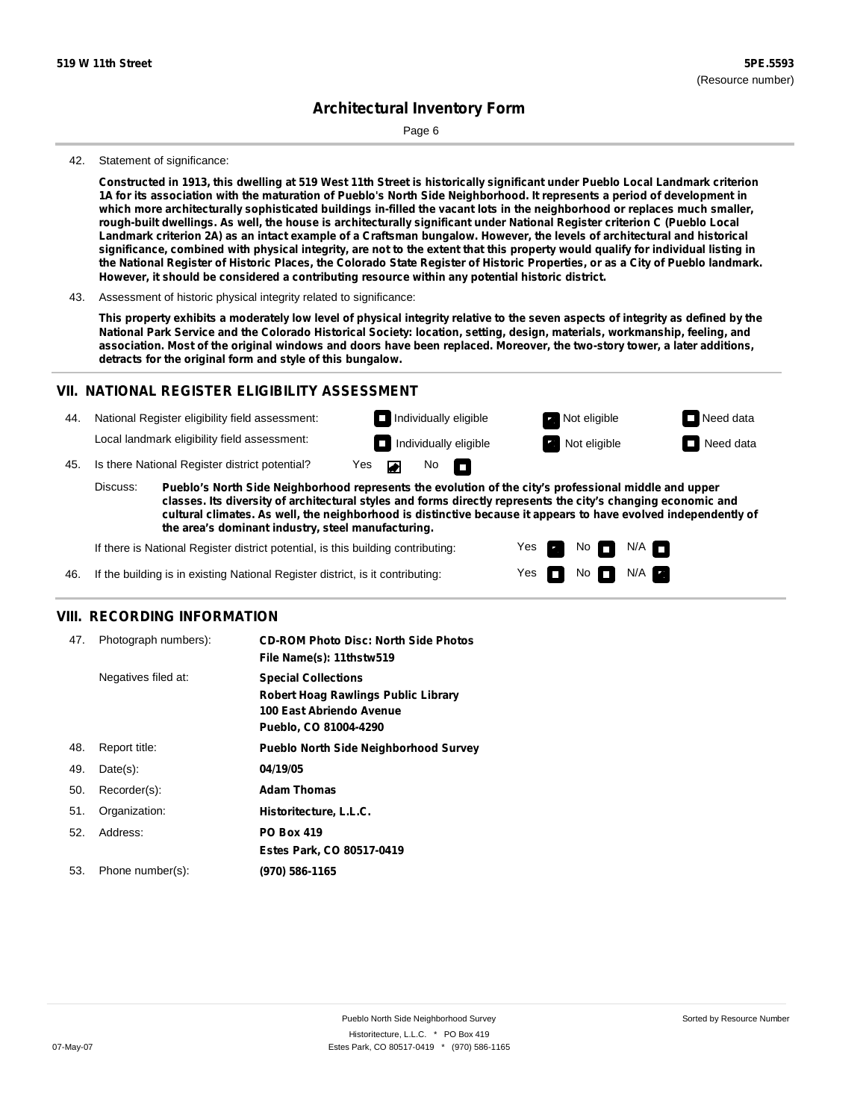Page 6

#### 42. Statement of significance:

Constructed in 1913, this dwelling at 519 West 11th Street is historically significant under Pueblo Local Landmark criterion 1A for its association with the maturation of Pueblo's North Side Neighborhood. It represents a period of development in which more architecturally sophisticated buildings in-filled the vacant lots in the neighborhood or replaces much smaller, rough-built dwellings. As well, the house is architecturally significant under National Register criterion C (Pueblo Local Landmark criterion 2A) as an intact example of a Craftsman bungalow. However, the levels of architectural and historical significance, combined with physical integrity, are not to the extent that this property would qualify for individual listing in the National Register of Historic Places, the Colorado State Register of Historic Properties, or as a City of Pueblo landmark. **However, it should be considered a contributing resource within any potential historic district.**

This property exhibits a moderately low level of physical integrity relative to the seven aspects of integrity as defined by the National Park Service and the Colorado Historical Society: location, setting, design, materials, workmanship, feeling, and association. Most of the original windows and doors have been replaced. Moreover, the two-story tower, a later additions, **detracts for the original form and style of this bungalow.**

#### **VII. NATIONAL REGISTER ELIGIBILITY ASSESSMENT**

44. National Register eligibility field assessment: Local landmark eligibility field assessment:

**Individually eligible Not eligible** Not eligible **Need data Individually eligible Not eligible** Not eligible **Need data** 

No<sub>D</sub>

45. Is there National Register district potential? Yes

**Pueblo's North Side Neighborhood represents the evolution of the city's professional middle and upper classes. Its diversity of architectural styles and forms directly represents the city's changing economic and cultural climates. As well, the neighborhood is distinctive because it appears to have evolved independently of the area's dominant industry, steel manufacturing.** Discuss:

 $\blacksquare$ 

Yes Yes No

 $No$   $N/A$ 

N/A

If there is National Register district potential, is this building contributing:



#### **VIII. RECORDING INFORMATION**

| 47. | Photograph numbers): | <b>CD-ROM Photo Disc: North Side Photos</b><br>File Name(s): 11thstw519                                                       |
|-----|----------------------|-------------------------------------------------------------------------------------------------------------------------------|
|     | Negatives filed at:  | <b>Special Collections</b><br><b>Robert Hoag Rawlings Public Library</b><br>100 East Abriendo Avenue<br>Pueblo, CO 81004-4290 |
| 48. | Report title:        | <b>Pueblo North Side Neighborhood Survey</b>                                                                                  |
| 49. | $Date(s)$ :          | 04/19/05                                                                                                                      |
| 50. | Recorder(s):         | <b>Adam Thomas</b>                                                                                                            |
| 51. | Organization:        | Historitecture, L.L.C.                                                                                                        |
| 52. | Address:             | <b>PO Box 419</b>                                                                                                             |
|     |                      | Estes Park, CO 80517-0419                                                                                                     |
| 53. | Phone number(s):     | (970) 586-1165                                                                                                                |

<sup>43.</sup> Assessment of historic physical integrity related to significance: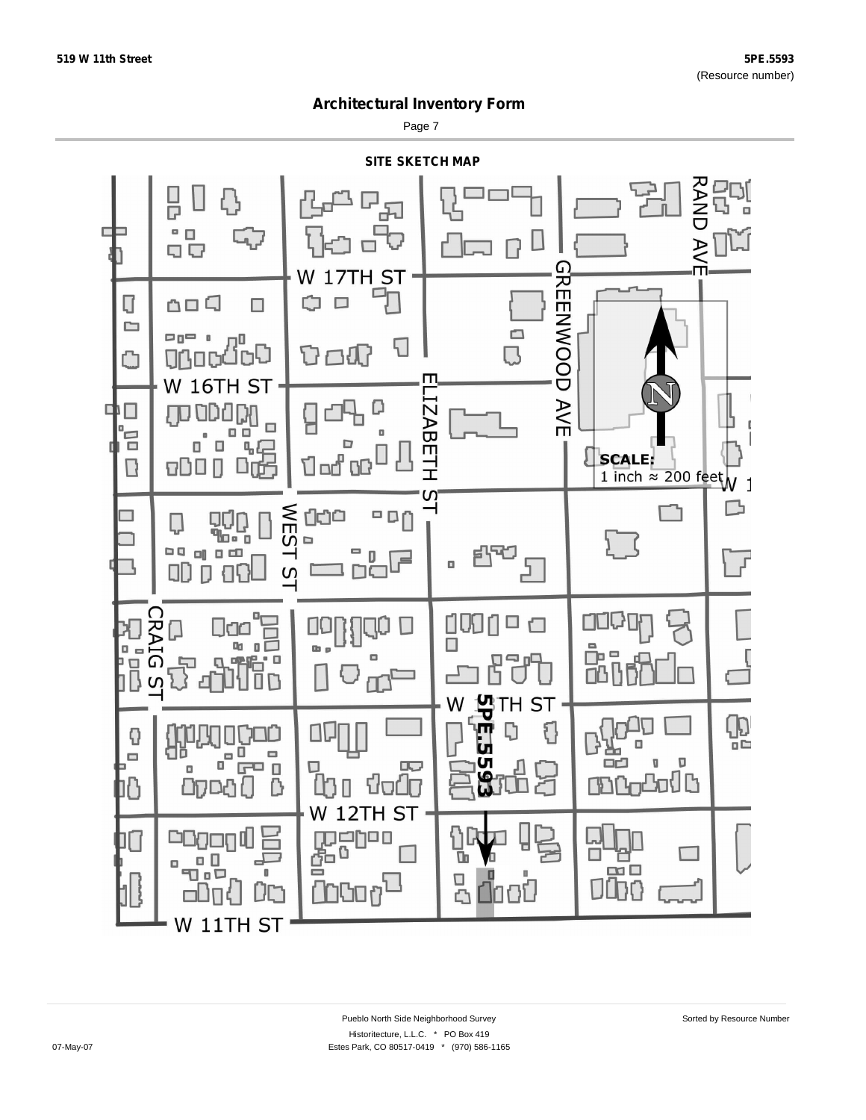Page 7